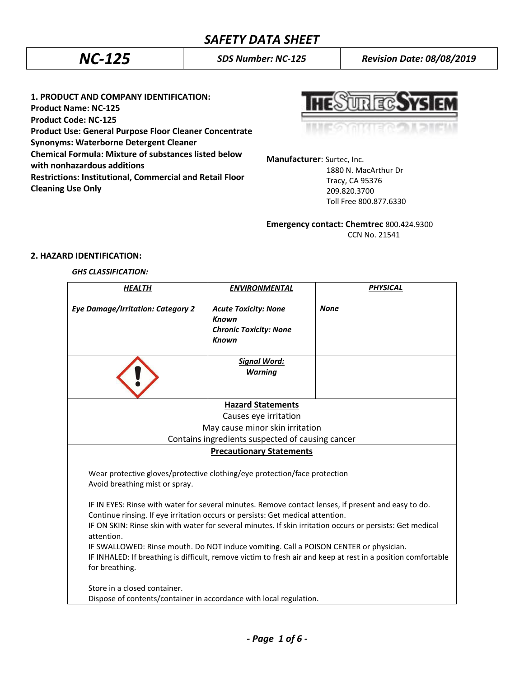*NC-125 SDS Number: NC-125 Revision Date: 08/08/2019*

**1. PRODUCT AND COMPANY IDENTIFICATION: Product Name: NC-125 Product Code: NC-125 Product Use: General Purpose Floor Cleaner Concentrate Synonyms: Waterborne Detergent Cleaner Chemical Formula: Mixture of substances listed below with nonhazardous additions Restrictions: Institutional, Commercial and Retail Floor Cleaning Use Only**

**UREC.SYS** 

**Manufacturer**: Surtec, Inc. 1880 N. MacArthur Dr

 Tracy, CA 95376 209.820.3700 Toll Free 800.877.6330

**Emergency contact: Chemtrec** 800.424.9300 CCN No. 21541

# **2. HAZARD IDENTIFICATION:**

## *GHS CLASSIFICATION:*

| <b>HEALTH</b>                                                                                                                                                                                                                                                                                        | <b>ENVIRONMENTAL</b>                                                                         | <b>PHYSICAL</b> |  |
|------------------------------------------------------------------------------------------------------------------------------------------------------------------------------------------------------------------------------------------------------------------------------------------------------|----------------------------------------------------------------------------------------------|-----------------|--|
| <b>Eye Damage/Irritation: Category 2</b>                                                                                                                                                                                                                                                             | <b>Acute Toxicity: None</b><br><b>Known</b><br><b>Chronic Toxicity: None</b><br><b>Known</b> | <b>None</b>     |  |
|                                                                                                                                                                                                                                                                                                      | <b>Signal Word:</b><br><b>Warning</b>                                                        |                 |  |
|                                                                                                                                                                                                                                                                                                      |                                                                                              |                 |  |
| <b>Hazard Statements</b>                                                                                                                                                                                                                                                                             |                                                                                              |                 |  |
|                                                                                                                                                                                                                                                                                                      | Causes eye irritation                                                                        |                 |  |
| May cause minor skin irritation                                                                                                                                                                                                                                                                      |                                                                                              |                 |  |
| Contains ingredients suspected of causing cancer                                                                                                                                                                                                                                                     |                                                                                              |                 |  |
| <b>Precautionary Statements</b>                                                                                                                                                                                                                                                                      |                                                                                              |                 |  |
| Wear protective gloves/protective clothing/eye protection/face protection<br>Avoid breathing mist or spray.<br>IF IN EYES: Rinse with water for several minutes. Remove contact lenses, if present and easy to do.<br>Continue rinsing. If eye irritation occurs or persists: Get medical attention. |                                                                                              |                 |  |
| IF ON SKIN: Rinse skin with water for several minutes. If skin irritation occurs or persists: Get medical<br>attention.                                                                                                                                                                              |                                                                                              |                 |  |
| IF SWALLOWED: Rinse mouth. Do NOT induce vomiting. Call a POISON CENTER or physician.                                                                                                                                                                                                                |                                                                                              |                 |  |
| IF INHALED: If breathing is difficult, remove victim to fresh air and keep at rest in a position comfortable<br>for breathing.                                                                                                                                                                       |                                                                                              |                 |  |
| Store in a closed container.                                                                                                                                                                                                                                                                         |                                                                                              |                 |  |
| Dispose of contents/container in accordance with local regulation.                                                                                                                                                                                                                                   |                                                                                              |                 |  |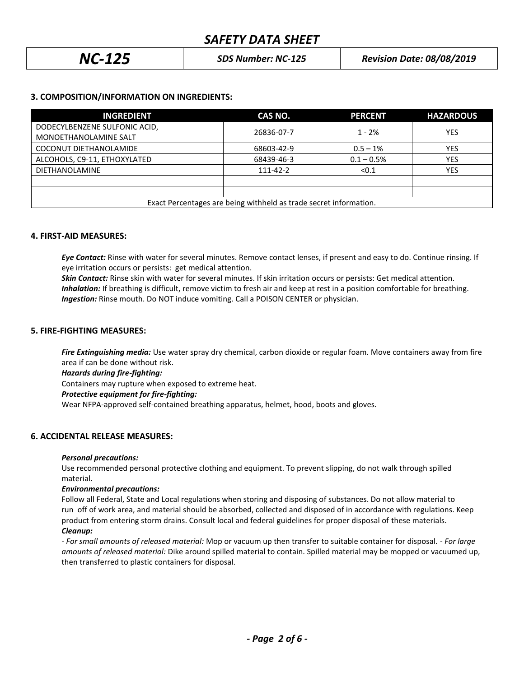| $NC-125$ | <b>SDS Number: NC-125</b> | <b>Revision Date: 08/08/2019</b> |
|----------|---------------------------|----------------------------------|
|----------|---------------------------|----------------------------------|

# **3. COMPOSITION/INFORMATION ON INGREDIENTS:**

| <b>INGREDIENT</b>                                                 | CAS NO.    | <b>PERCENT</b> | <b>HAZARDOUS</b> |
|-------------------------------------------------------------------|------------|----------------|------------------|
| DODECYLBENZENE SULFONIC ACID,                                     | 26836-07-7 | $1 - 2%$       | <b>YES</b>       |
| MONOETHANOLAMINE SALT                                             |            |                |                  |
| COCONUT DIETHANOLAMIDE                                            | 68603-42-9 | $0.5 - 1%$     | <b>YES</b>       |
| ALCOHOLS, C9-11, ETHOXYLATED                                      | 68439-46-3 | $0.1 - 0.5%$   | <b>YES</b>       |
| <b>DIETHANOLAMINE</b>                                             | 111-42-2   | < 0.1          | <b>YES</b>       |
|                                                                   |            |                |                  |
|                                                                   |            |                |                  |
| Exact Percentages are being withheld as trade secret information. |            |                |                  |

## **4. FIRST-AID MEASURES:**

*Eye Contact:* Rinse with water for several minutes. Remove contact lenses, if present and easy to do. Continue rinsing. If eye irritation occurs or persists: get medical attention.

*Skin Contact:* Rinse skin with water for several minutes. If skin irritation occurs or persists: Get medical attention.  *Inhalation:* If breathing is difficult, remove victim to fresh air and keep at rest in a position comfortable for breathing. *Ingestion:* Rinse mouth. Do NOT induce vomiting. Call a POISON CENTER or physician.

## **5. FIRE-FIGHTING MEASURES:**

*Fire Extinguishing media:* Use water spray dry chemical, carbon dioxide or regular foam. Move containers away from fire area if can be done without risk.

*Hazards during fire-fighting:*

Containers may rupture when exposed to extreme heat.

## *Protective equipment for fire-fighting:*

Wear NFPA-approved self-contained breathing apparatus, helmet, hood, boots and gloves.

# **6. ACCIDENTAL RELEASE MEASURES:**

## *Personal precautions:*

Use recommended personal protective clothing and equipment. To prevent slipping, do not walk through spilled material.

## *Environmental precautions:*

Follow all Federal, State and Local regulations when storing and disposing of substances. Do not allow material to run off of work area, and material should be absorbed, collected and disposed of in accordance with regulations. Keep product from entering storm drains. Consult local and federal guidelines for proper disposal of these materials. *Cleanup:*

*- For small amounts of released material:* Mop or vacuum up then transfer to suitable container for disposal. - *For large amounts of released material:* Dike around spilled material to contain. Spilled material may be mopped or vacuumed up, then transferred to plastic containers for disposal.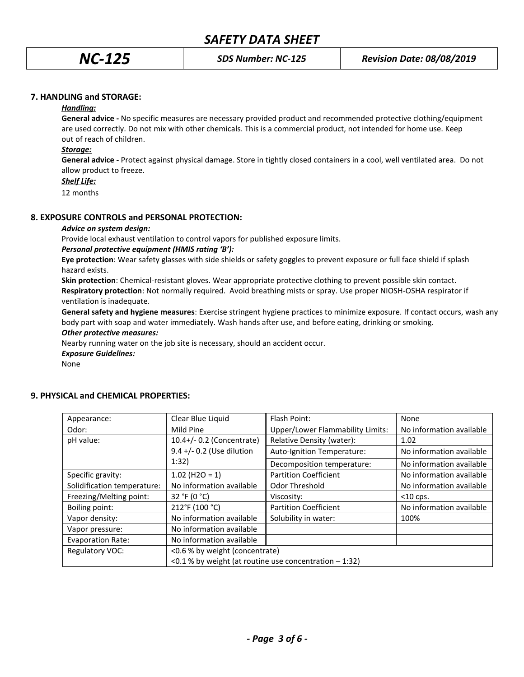## **7. HANDLING and STORAGE:**

## *Handling:*

**General advice -** No specific measures are necessary provided product and recommended protective clothing/equipment are used correctly. Do not mix with other chemicals. This is a commercial product, not intended for home use. Keep out of reach of children.

## *Storage:*

**General advice -** Protect against physical damage. Store in tightly closed containers in a cool, well ventilated area. Do not allow product to freeze.

## *Shelf Life:*

12 months

## **8. EXPOSURE CONTROLS and PERSONAL PROTECTION:**

## *Advice on system design:*

Provide local exhaust ventilation to control vapors for published exposure limits.

## *Personal protective equipment (HMIS rating 'B'):*

**Eye protection**: Wear safety glasses with side shields or safety goggles to prevent exposure or full face shield if splash hazard exists.

**Skin protection**: Chemical-resistant gloves. Wear appropriate protective clothing to prevent possible skin contact. **Respiratory protection**: Not normally required. Avoid breathing mists or spray. Use proper NIOSH-OSHA respirator if ventilation is inadequate.

**General safety and hygiene measures**: Exercise stringent hygiene practices to minimize exposure. If contact occurs, wash any body part with soap and water immediately. Wash hands after use, and before eating, drinking or smoking.

# *Other protective measures:*

Nearby running water on the job site is necessary, should an accident occur.

*Exposure Guidelines:*

None

| Appearance:                 | Clear Blue Liquid                                        | Flash Point:                     | None                     |
|-----------------------------|----------------------------------------------------------|----------------------------------|--------------------------|
| Odor:                       | Mild Pine                                                | Upper/Lower Flammability Limits: | No information available |
| pH value:                   | 10.4+/- 0.2 (Concentrate)                                | Relative Density (water):        | 1.02                     |
|                             | 9.4 +/- 0.2 (Use dilution                                | Auto-Ignition Temperature:       | No information available |
|                             | 1:32)                                                    | Decomposition temperature:       | No information available |
| Specific gravity:           | $1.02$ (H2O = 1)                                         | <b>Partition Coefficient</b>     | No information available |
| Solidification temperature: | No information available                                 | Odor Threshold                   | No information available |
| Freezing/Melting point:     | 32 °F (0 °C)                                             | Viscosity:                       | $<$ 10 cps.              |
| Boiling point:              | 212°F (100 °C)                                           | <b>Partition Coefficient</b>     | No information available |
| Vapor density:              | No information available                                 | Solubility in water:             | 100%                     |
| Vapor pressure:             | No information available                                 |                                  |                          |
| <b>Evaporation Rate:</b>    | No information available                                 |                                  |                          |
| Regulatory VOC:             | <0.6 % by weight (concentrate)                           |                                  |                          |
|                             | <0.1 % by weight (at routine use concentration $-1:32$ ) |                                  |                          |

## **9. PHYSICAL and CHEMICAL PROPERTIES:**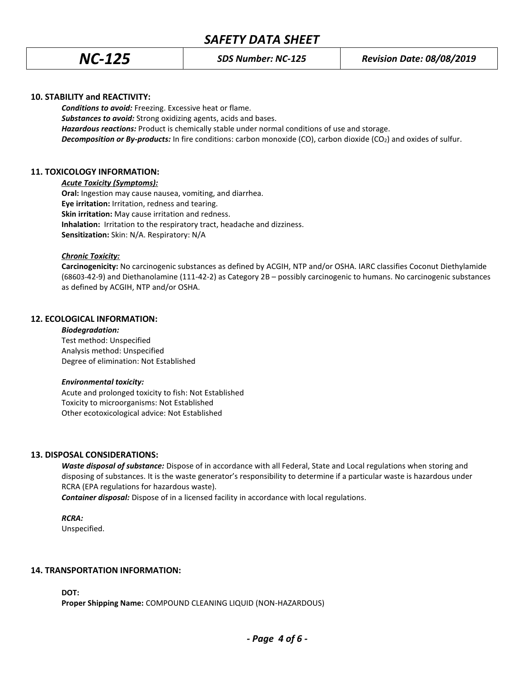# *SAFETY DATA SHEET*

## **10. STABILITY and REACTIVITY:**

*Conditions to avoid:* Freezing. Excessive heat or flame. *Substances to avoid:* Strong oxidizing agents, acids and bases. *Hazardous reactions:* Product is chemically stable under normal conditions of use and storage. *Decomposition or By-products:* In fire conditions: carbon monoxide (CO), carbon dioxide (CO2) and oxides of sulfur.

## **11. TOXICOLOGY INFORMATION:**

*Acute Toxicity (Symptoms):*

**Oral:** Ingestion may cause nausea, vomiting, and diarrhea. **Eye irritation:** Irritation, redness and tearing. **Skin irritation:** May cause irritation and redness. **Inhalation:** Irritation to the respiratory tract, headache and dizziness. **Sensitization:** Skin: N/A. Respiratory: N/A

## *Chronic Toxicity:*

**Carcinogenicity:** No carcinogenic substances as defined by ACGIH, NTP and/or OSHA. IARC classifies Coconut Diethylamide (68603-42-9) and Diethanolamine (111-42-2) as Category 2B – possibly carcinogenic to humans. No carcinogenic substances as defined by ACGIH, NTP and/or OSHA.

## **12. ECOLOGICAL INFORMATION:**

#### *Biodegradation:*

Test method: Unspecified Analysis method: Unspecified Degree of elimination: Not Established

## *Environmental toxicity:*

Acute and prolonged toxicity to fish: Not Established Toxicity to microorganisms: Not Established Other ecotoxicological advice: Not Established

## **13. DISPOSAL CONSIDERATIONS:**

*Waste disposal of substance:* Dispose of in accordance with all Federal, State and Local regulations when storing and disposing of substances. It is the waste generator's responsibility to determine if a particular waste is hazardous under RCRA (EPA regulations for hazardous waste).

*Container disposal:* Dispose of in a licensed facility in accordance with local regulations.

## *RCRA:*

Unspecified.

## **14. TRANSPORTATION INFORMATION:**

**DOT:**

**Proper Shipping Name:** COMPOUND CLEANING LIQUID (NON-HAZARDOUS)

*- Page 4 of 6 -*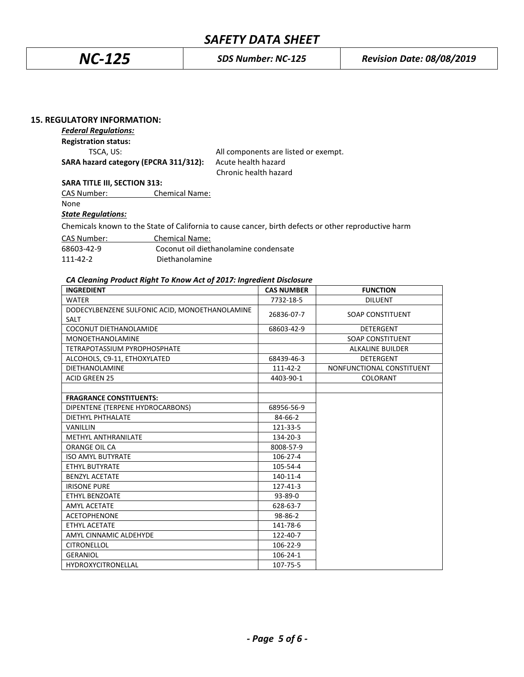# *SAFETY DATA SHEET*

## **15. REGULATORY INFORMATION:**

## *Federal Regulations:*

**Registration status:**

**SARA hazard category (EPCRA 311/312):** Acute health hazard

TSCA, US: TSCA, US: TSCA, US: TSCA, US: TSCA, US: TSCA, US: TSCA, US: TSCA, US: TSCA, US: TSCA, US: TSCA, US: TSCA, US: TSCA, US: TSCA, US: TSCA, US: TSCA, US: TSCA, US: TSCA, US: TSCA, US: TSCA, US: TSCA, US: TSCA, US: TS Chronic health hazard

**SARA TITLE III, SECTION 313:**

CAS Number: Chemical Name:

None

## *State Regulations:*

Chemicals known to the State of California to cause cancer, birth defects or other reproductive harm

| CAS Number: | <b>Chemical Name:</b>                 |
|-------------|---------------------------------------|
| 68603-42-9  | Coconut oil diethanolamine condensate |
| 111-42-2    | Diethanolamine                        |

## *CA Cleaning Product Right To Know Act of 2017: Ingredient Disclosure*

| <b>INGREDIENT</b>                                             | <b>CAS NUMBER</b> | <b>FUNCTION</b>           |
|---------------------------------------------------------------|-------------------|---------------------------|
| <b>WATER</b>                                                  | 7732-18-5         | <b>DILUENT</b>            |
| DODECYLBENZENE SULFONIC ACID, MONOETHANOLAMINE<br><b>SALT</b> | 26836-07-7        | <b>SOAP CONSTITUENT</b>   |
| COCONUT DIETHANOLAMIDE                                        | 68603-42-9        | <b>DETERGENT</b>          |
| <b>MONOETHANOLAMINE</b>                                       |                   | <b>SOAP CONSTITUENT</b>   |
| TETRAPOTASSIUM PYROPHOSPHATE                                  |                   | <b>ALKALINE BUILDER</b>   |
| ALCOHOLS, C9-11, ETHOXYLATED                                  | 68439-46-3        | <b>DETERGENT</b>          |
| <b>DIETHANOLAMINE</b>                                         | 111-42-2          | NONFUNCTIONAL CONSTITUENT |
| <b>ACID GREEN 25</b>                                          | 4403-90-1         | COLORANT                  |
|                                                               |                   |                           |
| <b>FRAGRANCE CONSTITUENTS:</b>                                |                   |                           |
| DIPENTENE (TERPENE HYDROCARBONS)                              | 68956-56-9        |                           |
| DIETHYL PHTHALATE                                             | 84-66-2           |                           |
| <b>VANILLIN</b>                                               | 121-33-5          |                           |
| <b>METHYL ANTHRANILATE</b>                                    | 134-20-3          |                           |
| ORANGE OIL CA                                                 | 8008-57-9         |                           |
| <b>ISO AMYL BUTYRATE</b>                                      | 106-27-4          |                           |
| ETHYL BUTYRATE                                                | 105-54-4          |                           |
| <b>BENZYL ACETATE</b>                                         | 140-11-4          |                           |
| <b>IRISONE PURE</b>                                           | 127-41-3          |                           |
| ETHYL BENZOATE                                                | 93-89-0           |                           |
| <b>AMYL ACETATE</b>                                           | 628-63-7          |                           |
| <b>ACETOPHENONE</b>                                           | 98-86-2           |                           |
| ETHYL ACETATE                                                 | 141-78-6          |                           |
| AMYL CINNAMIC ALDEHYDE                                        | 122-40-7          |                           |
| <b>CITRONELLOL</b>                                            | 106-22-9          |                           |
| <b>GERANIOL</b>                                               | $106 - 24 - 1$    |                           |
| <b>HYDROXYCITRONELLAL</b>                                     | 107-75-5          |                           |